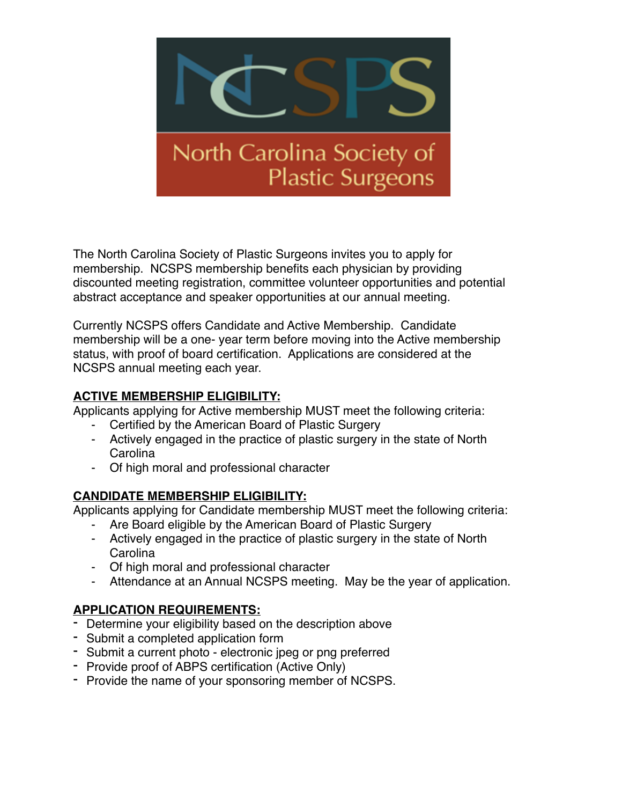

The North Carolina Society of Plastic Surgeons invites you to apply for membership. NCSPS membership benefits each physician by providing discounted meeting registration, committee volunteer opportunities and potential abstract acceptance and speaker opportunities at our annual meeting.

Currently NCSPS offers Candidate and Active Membership. Candidate membership will be a one- year term before moving into the Active membership status, with proof of board certification. Applications are considered at the NCSPS annual meeting each year.

### **ACTIVE MEMBERSHIP ELIGIBILITY:**

Applicants applying for Active membership MUST meet the following criteria:

- Certified by the American Board of Plastic Surgery
- Actively engaged in the practice of plastic surgery in the state of North **Carolina**
- Of high moral and professional character

#### **CANDIDATE MEMBERSHIP ELIGIBILITY:**

Applicants applying for Candidate membership MUST meet the following criteria:

- Are Board eligible by the American Board of Plastic Surgery
- Actively engaged in the practice of plastic surgery in the state of North Carolina
- Of high moral and professional character
- Attendance at an Annual NCSPS meeting. May be the year of application.

#### **APPLICATION REQUIREMENTS:**

- Determine your eligibility based on the description above
- Submit a completed application form
- Submit a current photo electronic jpeg or png preferred
- Provide proof of ABPS certification (Active Only)
- Provide the name of your sponsoring member of NCSPS.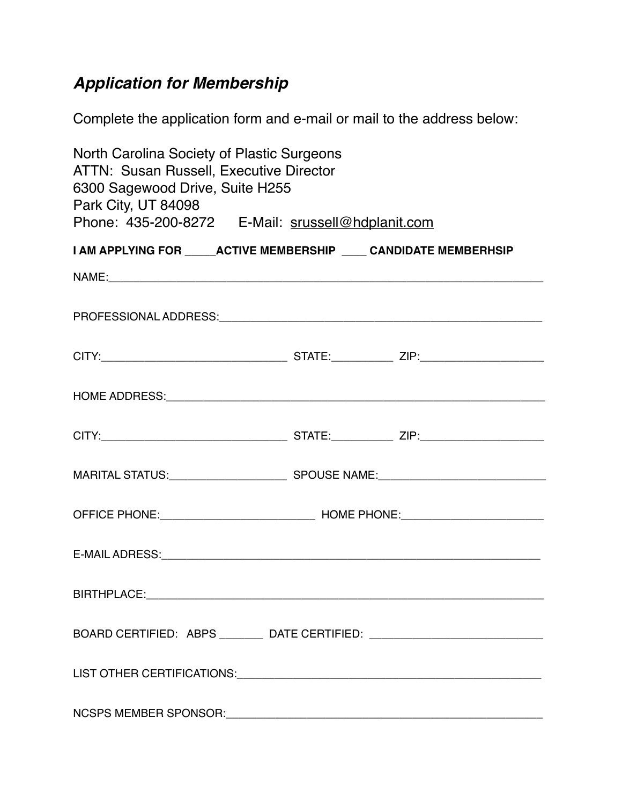# *Application for Membership*

Complete the application form and e-mail or mail to the address below:

| North Carolina Society of Plastic Surgeons<br><b>ATTN: Susan Russell, Executive Director</b><br>6300 Sagewood Drive, Suite H255<br>Park City, UT 84098<br>Phone: 435-200-8272 E-Mail: srussell@hdplanit.com |  |  |  |  |
|-------------------------------------------------------------------------------------------------------------------------------------------------------------------------------------------------------------|--|--|--|--|
| I AM APPLYING FOR _____ ACTIVE MEMBERSHIP ____ CANDIDATE MEMBERHSIP                                                                                                                                         |  |  |  |  |
|                                                                                                                                                                                                             |  |  |  |  |
|                                                                                                                                                                                                             |  |  |  |  |
|                                                                                                                                                                                                             |  |  |  |  |
|                                                                                                                                                                                                             |  |  |  |  |
|                                                                                                                                                                                                             |  |  |  |  |
|                                                                                                                                                                                                             |  |  |  |  |
|                                                                                                                                                                                                             |  |  |  |  |
|                                                                                                                                                                                                             |  |  |  |  |
|                                                                                                                                                                                                             |  |  |  |  |
| BOARD CERTIFIED: ABPS _________ DATE CERTIFIED: ________________________________                                                                                                                            |  |  |  |  |
|                                                                                                                                                                                                             |  |  |  |  |
|                                                                                                                                                                                                             |  |  |  |  |